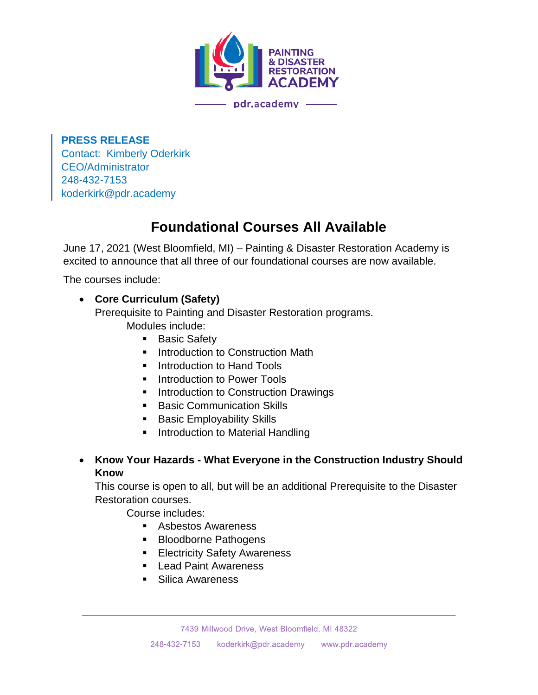

**PRESS RELEASE** Contact: Kimberly Oderkirk CEO/Administrator 248-432-7153 koderkirk@pdr.academy

## **Foundational Courses All Available**

June 17, 2021 (West Bloomfield, MI) – Painting & Disaster Restoration Academy is excited to announce that all three of our foundational courses are now available.

The courses include:

## • **Core Curriculum (Safety)**

Prerequisite to Painting and Disaster Restoration programs. Modules include:

- Basic Safety
- **■** Introduction to Construction Math
- Introduction to Hand Tools
- Introduction to Power Tools
- Introduction to Construction Drawings
- Basic Communication Skills
- Basic Employability Skills
- Introduction to Material Handling
- **Know Your Hazards - What Everyone in the Construction Industry Should Know**

This course is open to all, but will be an additional Prerequisite to the Disaster Restoration courses.

Course includes:

- Asbestos Awareness
- Bloodborne Pathogens
- Electricity Safety Awareness
- Lead Paint Awareness
- Silica Awareness